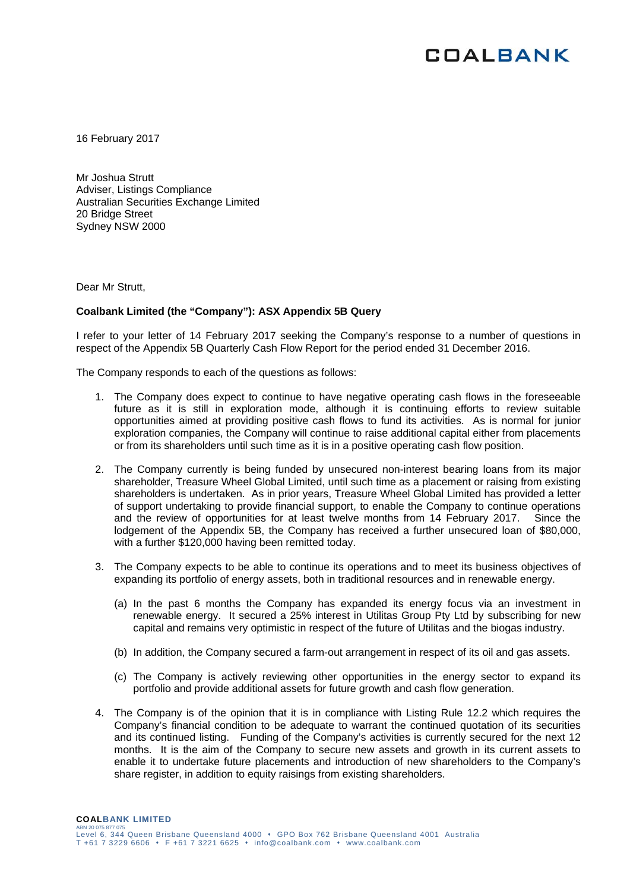

16 February 2017

Mr Joshua Strutt Adviser, Listings Compliance Australian Securities Exchange Limited 20 Bridge Street Sydney NSW 2000

Dear Mr Strutt,

## **Coalbank Limited (the "Company"): ASX Appendix 5B Query**

I refer to your letter of 14 February 2017 seeking the Company's response to a number of questions in respect of the Appendix 5B Quarterly Cash Flow Report for the period ended 31 December 2016.

The Company responds to each of the questions as follows:

- 1. The Company does expect to continue to have negative operating cash flows in the foreseeable future as it is still in exploration mode, although it is continuing efforts to review suitable opportunities aimed at providing positive cash flows to fund its activities. As is normal for junior exploration companies, the Company will continue to raise additional capital either from placements or from its shareholders until such time as it is in a positive operating cash flow position.
- 2. The Company currently is being funded by unsecured non-interest bearing loans from its major shareholder, Treasure Wheel Global Limited, until such time as a placement or raising from existing shareholders is undertaken. As in prior years, Treasure Wheel Global Limited has provided a letter of support undertaking to provide financial support, to enable the Company to continue operations and the review of opportunities for at least twelve months from 14 February 2017. Since the lodgement of the Appendix 5B, the Company has received a further unsecured loan of \$80,000, with a further \$120,000 having been remitted today.
- 3. The Company expects to be able to continue its operations and to meet its business objectives of expanding its portfolio of energy assets, both in traditional resources and in renewable energy.
	- (a) In the past 6 months the Company has expanded its energy focus via an investment in renewable energy. It secured a 25% interest in Utilitas Group Pty Ltd by subscribing for new capital and remains very optimistic in respect of the future of Utilitas and the biogas industry.
	- (b) In addition, the Company secured a farm-out arrangement in respect of its oil and gas assets.
	- (c) The Company is actively reviewing other opportunities in the energy sector to expand its portfolio and provide additional assets for future growth and cash flow generation.
- 4. The Company is of the opinion that it is in compliance with Listing Rule 12.2 which requires the Company's financial condition to be adequate to warrant the continued quotation of its securities and its continued listing. Funding of the Company's activities is currently secured for the next 12 months. It is the aim of the Company to secure new assets and growth in its current assets to enable it to undertake future placements and introduction of new shareholders to the Company's share register, in addition to equity raisings from existing shareholders.